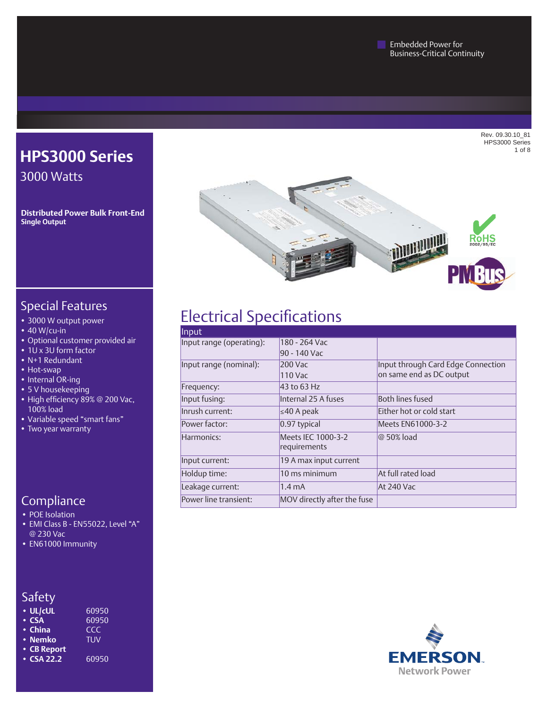Rev. 09.30.10\_81 HPS3000 Series 1 of 8



### Special Features

- • 3000 W output power
- $\cdot$  40 W/cu-in
- • Optional customer provided air

**HPS3000 Series**

**Distributed Power Bulk Front-End**

3000 Watts

**Single Output**

- 1U x 3U form factor
- • N+1 Redundant
- Hot-swap
- Internal OR-ing
- 5 V housekeeping
- High efficiency 89% @ 200 Vac, 100% load
- • Variable speed "smart fans"
- Two year warranty

#### **Compliance**

- POE Isolation
- • EMI Class B EN55022, Level "A" @ 230 Vac
- EN61000 Immunity

| • UL/cUL    | 60950 |
|-------------|-------|
| $\cdot$ CSA | 60950 |

- 
- China CCC<br>• Nemko TUV • Nemko
- **• CB Report**
- **CSA 22.2** 60950

# Electrical Specifications

| Input                    |                                    |                                    |
|--------------------------|------------------------------------|------------------------------------|
| Input range (operating): | 180 - 264 Vac                      |                                    |
|                          | 90 - 140 Vac                       |                                    |
| Input range (nominal):   | 200 Vac                            | Input through Card Edge Connection |
|                          | 110 Vac                            | on same end as DC output           |
| Frequency:               | 43 to 63 Hz                        |                                    |
| Input fusing:            | Internal 25 A fuses                | Both lines fused                   |
| Inrush current:          | ≤40 A peak                         | Either hot or cold start           |
| Power factor:            | 0.97 typical                       | Meets EN61000-3-2                  |
| Harmonics:               | Meets IEC 1000-3-2<br>requirements | @ 50% load                         |
| Input current:           | 19 A max input current             |                                    |
| Holdup time:             | 10 ms minimum                      | At full rated load                 |
| Leakage current:         | $1.4 \text{ mA}$                   | At 240 Vac                         |
| Power line transient:    | MOV directly after the fuse        |                                    |





# Safety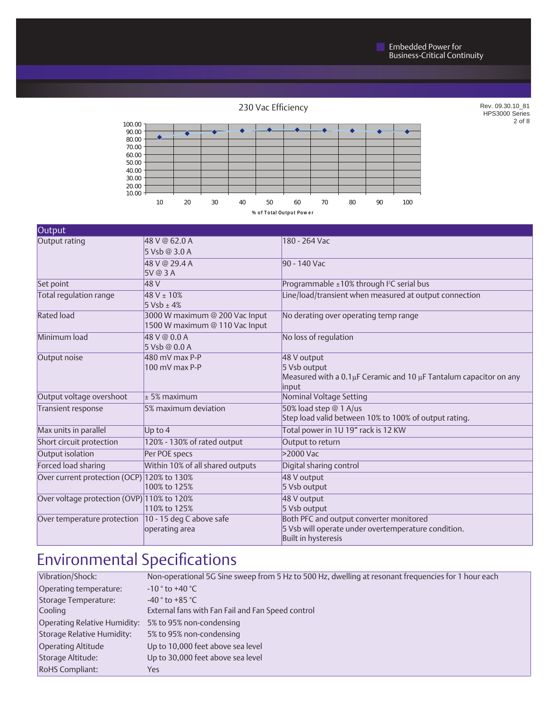230 Vac Efficiency

Rev. 09.30.10\_81 HPS3000 Series 2 of 8



| Output                                     |                                                                  |                                                                                 |
|--------------------------------------------|------------------------------------------------------------------|---------------------------------------------------------------------------------|
| Output rating                              | 48 V @ 62.0 A                                                    | 180 - 264 Vac                                                                   |
|                                            | 5 Vsb @ 3.0 A                                                    |                                                                                 |
|                                            | 48 V @ 29.4 A                                                    | 90 - 140 Vac                                                                    |
|                                            | 5V@3A                                                            |                                                                                 |
| Set point                                  | 48 V                                                             | Programmable ±10% through I <sup>2</sup> C serial bus                           |
| Total regulation range                     | $48 V \pm 10%$<br>$5 Vsb \pm 4%$                                 | Line/load/transient when measured at output connection                          |
| <b>Rated load</b>                          | 3000 W maximum @ 200 Vac Input<br>1500 W maximum @ 110 Vac Input | No derating over operating temp range                                           |
| Minimum load                               | 48 V @ 0.0 A<br>5 Vsb @ 0.0 A                                    | No loss of regulation                                                           |
| Output noise                               | $480$ mV max P-P                                                 | 48 V output                                                                     |
|                                            | 100 mV max P-P                                                   | 5 Vsb output                                                                    |
|                                            |                                                                  | Measured with a 0.1µF Ceramic and 10 µF Tantalum capacitor on any               |
| Output voltage overshoot                   | $+5%$ maximum                                                    | input<br>Nominal Voltage Setting                                                |
|                                            | 5% maximum deviation                                             |                                                                                 |
| Transient response                         |                                                                  | 50% load step @ 1 A/us<br>Step load valid between 10% to 100% of output rating. |
| Max units in parallel                      | Up to $4$                                                        | Total power in 1U 19" rack is 12 KW                                             |
| Short circuit protection                   | 120% - 130% of rated output                                      | Output to return                                                                |
| Output isolation                           | Per POE specs                                                    | >2000 Vac                                                                       |
| Forced load sharing                        | Within 10% of all shared outputs                                 | Digital sharing control                                                         |
| Over current protection (OCP) 120% to 130% |                                                                  | 48 V output                                                                     |
|                                            | 100% to 125%                                                     | 5 Vsb output                                                                    |
| Over voltage protection (OVP) 110% to 120% |                                                                  | 48 V output                                                                     |
|                                            | 110% to 125%                                                     | 5 Vsb output                                                                    |
| Over temperature protection                | 10 - 15 deg C above safe                                         | Both PFC and output converter monitored                                         |
|                                            | operating area                                                   | 5 Vsb will operate under overtemperature condition.                             |
|                                            |                                                                  | Built in hysteresis                                                             |

# Environmental Specifications

| Vibration/Shock:             | Non-operational 5G Sine sweep from 5 Hz to 500 Hz, dwelling at resonant frequencies for 1 hour each |
|------------------------------|-----------------------------------------------------------------------------------------------------|
| Operating temperature:       | $-10°$ to $+40°$ C                                                                                  |
| Storage Temperature:         | $-40°$ to +85 °C                                                                                    |
| Cooling                      | External fans with Fan Fail and Fan Speed control                                                   |
| Operating Relative Humidity: | 5% to 95% non-condensing                                                                            |
| Storage Relative Humidity:   | 5% to 95% non-condensing                                                                            |
| Operating Altitude           | Up to 10,000 feet above sea level                                                                   |
| Storage Altitude:            | Up to 30,000 feet above sea level                                                                   |
| RoHS Compliant:              | Yes.                                                                                                |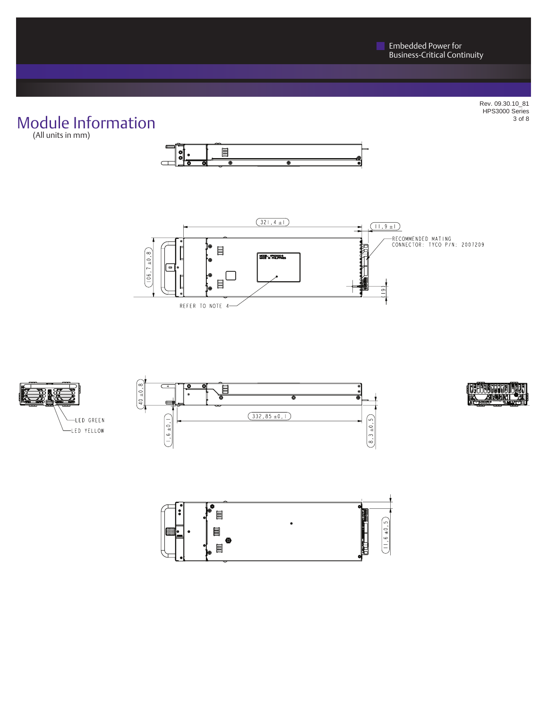# Module Information

(All units in mm)











Rev. 09.30.10\_81 HPS3000 Series 3 of 8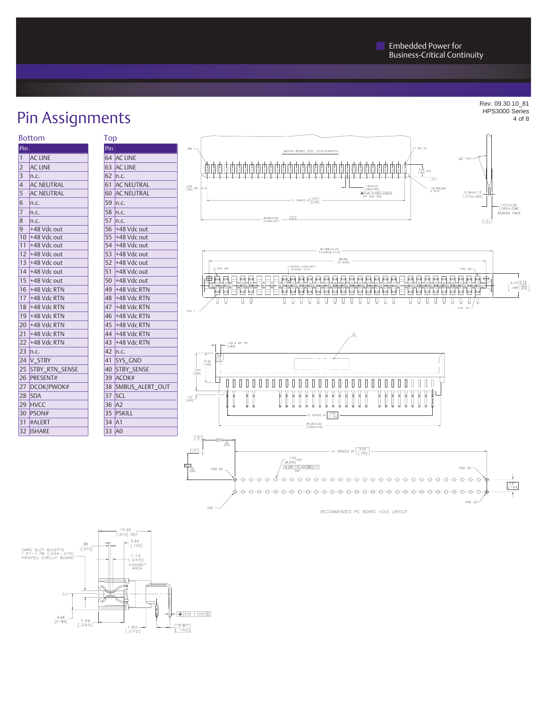# Pin Assignments

| <b>Bottom</b> | <b>lop</b> |
|---------------|------------|
|---------------|------------|

| Pin                              |  |
|----------------------------------|--|
| <b>AC LINE</b><br>$\mathbf{1}$   |  |
| <b>AC LINE</b><br>$\overline{2}$ |  |
| 3<br>n.c.                        |  |
| <b>AC NEUTRAL</b><br>4           |  |
| 5<br><b>AC NEUTRAL</b>           |  |
| 6<br>n.c.                        |  |
| 7<br>n.c.                        |  |
| 8<br>n.c.                        |  |
| 9<br>+48 Vdc out                 |  |
| 10 +48 Vdc out                   |  |
| 11<br>+48 Vdc out                |  |
| 12 +48 Vdc out                   |  |
| 13 +48 Vdc out                   |  |
| 14 +48 Vdc out                   |  |
| 15 +48 Vdc out                   |  |
| $16$ +48 Vdc RTN                 |  |
| 17 +48 Vdc RTN                   |  |
| 18 +48 Vdc RTN                   |  |
| 19 +48 Vdc RTN                   |  |
| 20 +48 Vdc RTN                   |  |
| +48 Vdc RTN<br>21                |  |
| 22 +48 Vdc RTN                   |  |
| $23$ n.c.                        |  |
| 24 V_STBY                        |  |
| STBY_RTN_SENSE<br>25             |  |
| 26 PRESENT#                      |  |
| 27 <sup>1</sup><br>DCOK/PWOK#    |  |
| 28<br><b>SDA</b>                 |  |
| 29<br><b>HVCC</b>                |  |
| 30 PSON#                         |  |
| 31 #ALERT                        |  |
| 32<br><b>ISHARE</b>              |  |

| Top    |                      |
|--------|----------------------|
| Pin    |                      |
|        | 64 AC LINE           |
|        | 63 AC LINE           |
|        | 62   n.c.            |
|        | 61 AC NEUTRAL        |
|        | <b>60 AC NEUTRAL</b> |
|        | 59 n.c.              |
|        | 58   n.c.            |
|        | 57   n.c.            |
|        | 56 +48 Vdc out       |
|        | 55 +48 Vdc out       |
|        | 54 +48 Vdc out       |
| 53.    | +48 Vdc out          |
|        | 52 +48 Vdc out       |
|        | 51 +48 Vdc out       |
|        | 50 +48 Vdc out       |
|        | 49 +48 Vdc RTN       |
| 48     | $+48$ Vdc RTN        |
| 47     | +48 Vdc RTN          |
|        | 46 +48 Vdc RTN       |
|        | 45 +48 Vdc RTN       |
|        | 44 +48 Vdc RTN       |
| 43     | $+48$ Vdc RTN        |
|        | 42   n.c.            |
|        | 41 SYS GND           |
|        | 40 STBY_SENSE        |
|        | 39 ACOK#             |
| 38     | SMBUS_ALERT_OUT      |
| 37     | <b>SCL</b>           |
| 36 IA2 |                      |
|        | 35 PSKILL            |
| 34 A1  |                      |
| 33     | A <sub>0</sub>       |
|        |                      |







RECOMMENDED PC BOARD HOLE LAYOUT



Rev. 09.30.10\_81 HPS3000 Series 4 of 8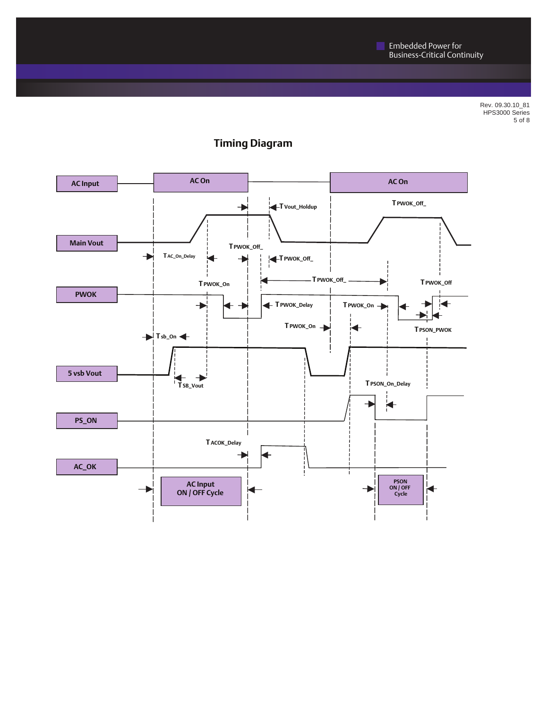Rev. 09.30.10\_81 HPS3000 Series 5 of 8



#### **Timing Diagram**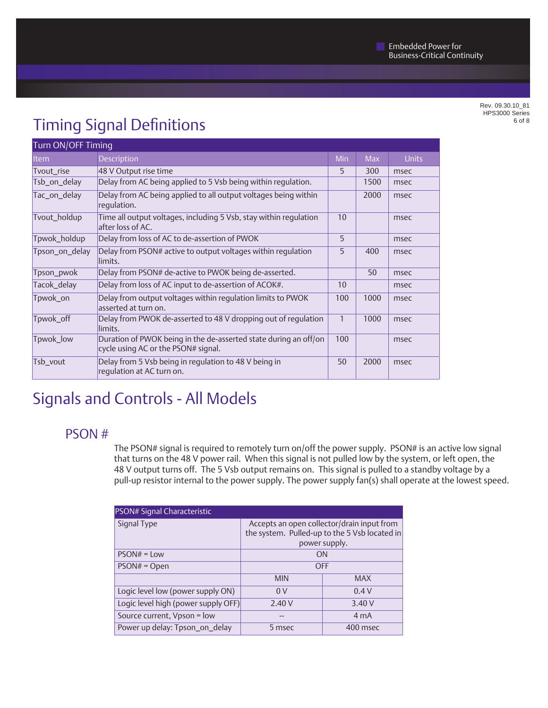Rev. 09.30.10\_81 HPS3000 Series 6 of 8

# Timing Signal Definitions

| Turn ON/OFF Timing |                                                                                                         |              |            |              |  |
|--------------------|---------------------------------------------------------------------------------------------------------|--------------|------------|--------------|--|
| <b>Item</b>        | <b>Description</b>                                                                                      | Min          | <b>Max</b> | <b>Units</b> |  |
| Tvout_rise         | 48 V Output rise time                                                                                   | 5            | 300        | msec         |  |
| Tsb_on_delay       | Delay from AC being applied to 5 Vsb being within regulation.                                           |              | 1500       | msec         |  |
| Tac_on_delay       | Delay from AC being applied to all output voltages being within<br>regulation.                          |              | 2000       | msec         |  |
| Tvout_holdup       | Time all output voltages, including 5 Vsb, stay within regulation<br>after loss of AC.                  | 10           |            | msec         |  |
| Tpwok_holdup       | Delay from loss of AC to de-assertion of PWOK                                                           | 5            |            | msec         |  |
| Tpson_on_delay     | Delay from PSON# active to output voltages within regulation<br>limits.                                 | 5            | 400        | msec         |  |
| Tpson_pwok         | Delay from PSON# de-active to PWOK being de-asserted.                                                   |              | 50         | msec         |  |
| Tacok_delay        | Delay from loss of AC input to de-assertion of ACOK#.                                                   | 10           |            | msec         |  |
| Tpwok_on           | Delay from output voltages within regulation limits to PWOK<br>asserted at turn on.                     | 100          | 1000       | msec         |  |
| Tpwok_off          | Delay from PWOK de-asserted to 48 V dropping out of regulation<br>limits.                               | $\mathbf{1}$ | 1000       | msec         |  |
| Tpwok_low          | Duration of PWOK being in the de-asserted state during an off/on<br>cycle using AC or the PSON# signal. | 100          |            | msec         |  |
| Tsb_vout           | Delay from 5 Vsb being in regulation to 48 V being in<br>regulation at AC turn on.                      | 50           | 2000       | msec         |  |

# Signals and Controls - All Models

### PSON #

The PSON# signal is required to remotely turn on/off the power supply. PSON# is an active low signal that turns on the 48 V power rail. When this signal is not pulled low by the system, or left open, the 48 V output turns off. The 5 Vsb output remains on. This signal is pulled to a standby voltage by a pull-up resistor internal to the power supply. The power supply fan(s) shall operate at the lowest speed.

| PSON# Signal Characteristic         |                                                                                                              |                  |  |  |
|-------------------------------------|--------------------------------------------------------------------------------------------------------------|------------------|--|--|
| Signal Type                         | Accepts an open collector/drain input from<br>the system. Pulled-up to the 5 Vsb located in<br>power supply. |                  |  |  |
|                                     |                                                                                                              |                  |  |  |
| $PSON# = Low$                       | ON                                                                                                           |                  |  |  |
| $PSON# = Open$                      | <b>OFF</b>                                                                                                   |                  |  |  |
|                                     | <b>MIN</b>                                                                                                   | <b>MAX</b>       |  |  |
| Logic level low (power supply ON)   | 0V                                                                                                           | 0.4V             |  |  |
| Logic level high (power supply OFF) | 2.40V                                                                                                        | 3.40V            |  |  |
| Source current, Vpson = low         |                                                                                                              | 4 <sub>m</sub> A |  |  |
| Power up delay: Tpson_on_delay      | 5 msec                                                                                                       | 400 msec         |  |  |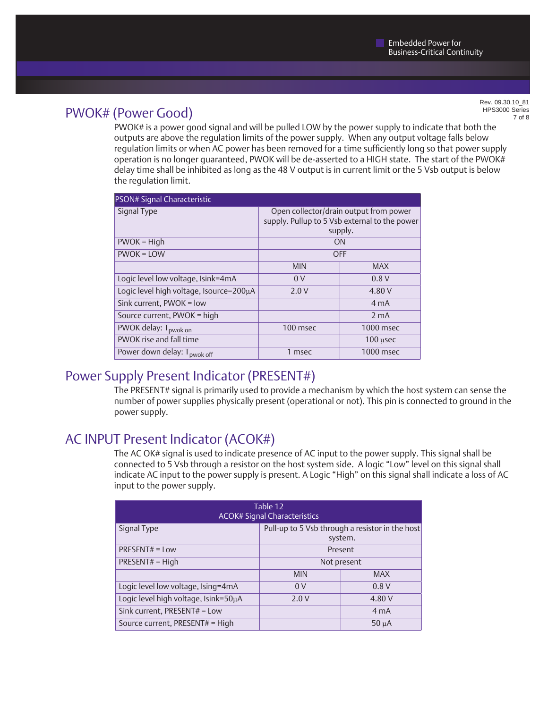## PWOK# (Power Good)

Rev. 09.30.10\_81 HPS3000 Series 7 of 8

PWOK# is a power good signal and will be pulled LOW by the power supply to indicate that both the outputs are above the regulation limits of the power supply. When any output voltage falls below regulation limits or when AC power has been removed for a time sufficiently long so that power supply operation is no longer guaranteed, PWOK will be de-asserted to a HIGH state. The start of the PWOK# delay time shall be inhibited as long as the 48 V output is in current limit or the 5 Vsb output is below the regulation limit.

| PSON# Signal Characteristic                                                                                       |                |                  |  |  |
|-------------------------------------------------------------------------------------------------------------------|----------------|------------------|--|--|
| Signal Type<br>Open collector/drain output from power<br>supply. Pullup to 5 Vsb external to the power<br>supply. |                |                  |  |  |
| $PWOK = High$                                                                                                     |                | ON               |  |  |
| $PWOK = LOW$                                                                                                      | <b>OFF</b>     |                  |  |  |
|                                                                                                                   | <b>MIN</b>     | <b>MAX</b>       |  |  |
| Logic level low voltage, Isink=4mA                                                                                | 0 <sup>V</sup> | 0.8V             |  |  |
| Logic level high voltage, Isource=200µA                                                                           | 2.0V           | 4.80 V           |  |  |
| Sink current, PWOK = low                                                                                          |                | 4 <sub>m</sub> A |  |  |
| Source current, PWOK = high                                                                                       |                | 2 <sub>m</sub> A |  |  |
| PWOK delay: T <sub>pwok on</sub>                                                                                  | 100 msec       | 1000 msec        |  |  |
| PWOK rise and fall time                                                                                           |                | $100$ $\mu$ sec  |  |  |
| Power down delay: T <sub>pwok off</sub>                                                                           | 1 msec         | 1000 msec        |  |  |

#### Power Supply Present Indicator (PRESENT#)

The PRESENT# signal is primarily used to provide a mechanism by which the host system can sense the number of power supplies physically present (operational or not). This pin is connected to ground in the power supply.

### AC INPUT Present Indicator (ACOK#)

The AC OK# signal is used to indicate presence of AC input to the power supply. This signal shall be connected to 5 Vsb through a resistor on the host system side. A logic "Low" level on this signal shall indicate AC input to the power supply is present. A Logic "High" on this signal shall indicate a loss of AC input to the power supply.

| Table 12<br><b>ACOK# Signal Characteristics</b> |                                                            |                  |  |  |
|-------------------------------------------------|------------------------------------------------------------|------------------|--|--|
| Signal Type                                     | Pull-up to 5 Vsb through a resistor in the host<br>system. |                  |  |  |
| $PRESENT# = Low$                                | Present                                                    |                  |  |  |
| $PRESENT# = High$                               | Not present                                                |                  |  |  |
|                                                 | <b>MIN</b>                                                 | <b>MAX</b>       |  |  |
| Logic level low voltage, Ising=4mA              | 0 <sup>V</sup>                                             | 0.8V             |  |  |
| Logic level high voltage, Isink=50µA            | 2.0V                                                       | 4.80 V           |  |  |
| Sink current, PRESENT# = Low                    |                                                            | 4 <sub>m</sub> A |  |  |
| Source current, PRESENT# = High<br>$50 \mu A$   |                                                            |                  |  |  |